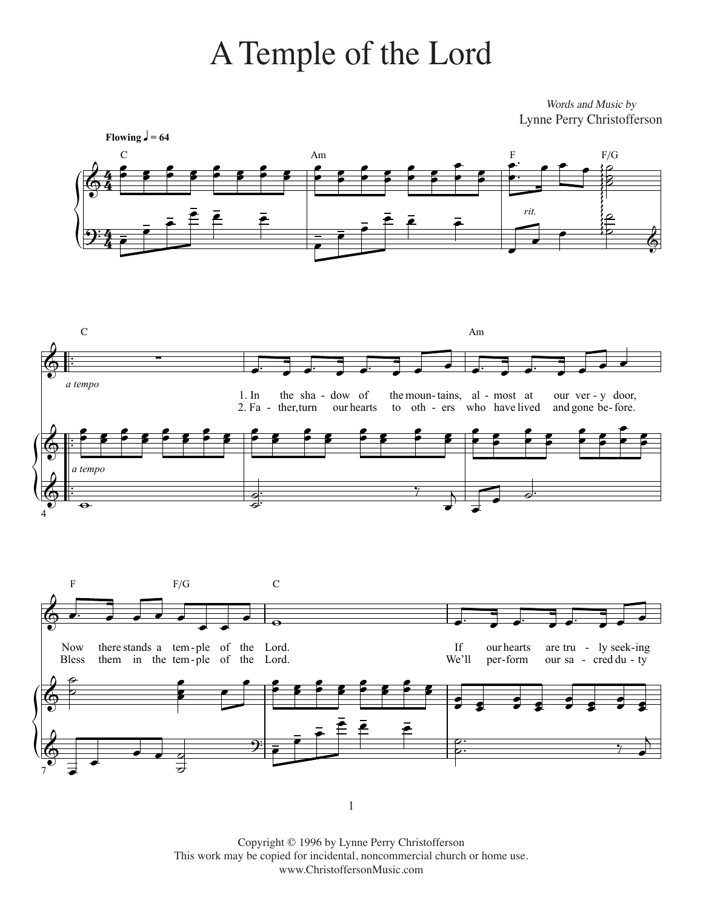## A Temple of the Lord

Words and Music by Lynne Perry Christofferson



 $\,1\,$ 

Copyright © 1996 by Lynne Perry Christofferson This work may be copied for incidental, noncommercial church or home use. www.ChristoffersonMusic.com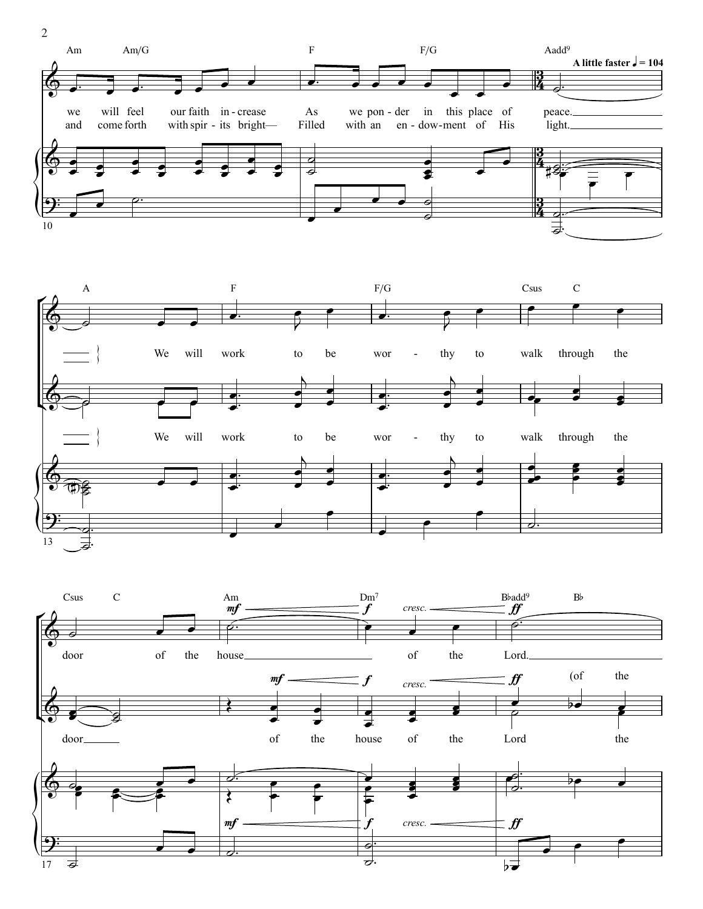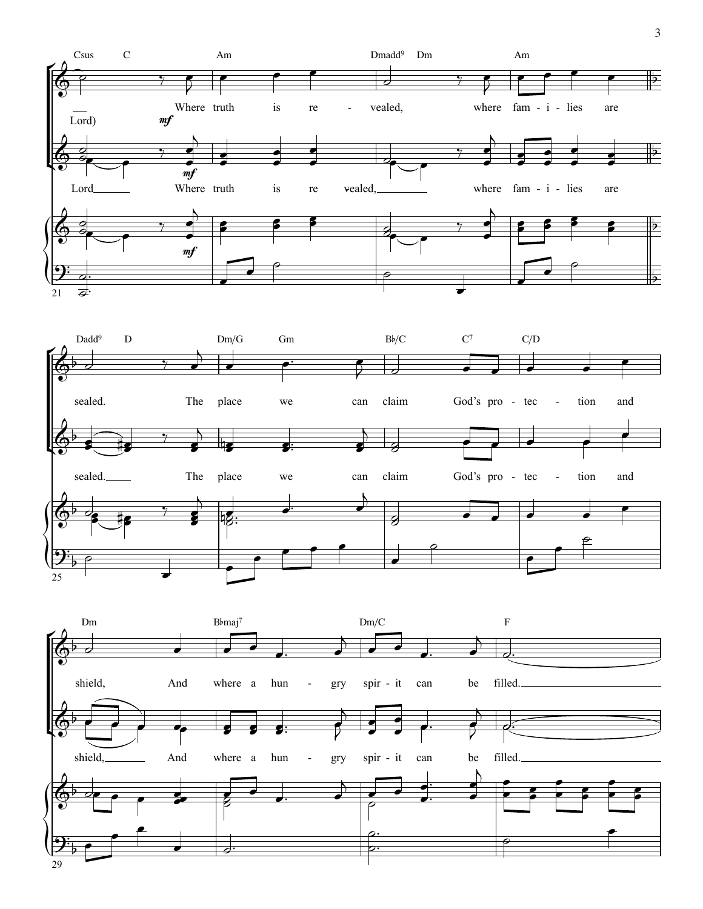

˙™

29

3 3